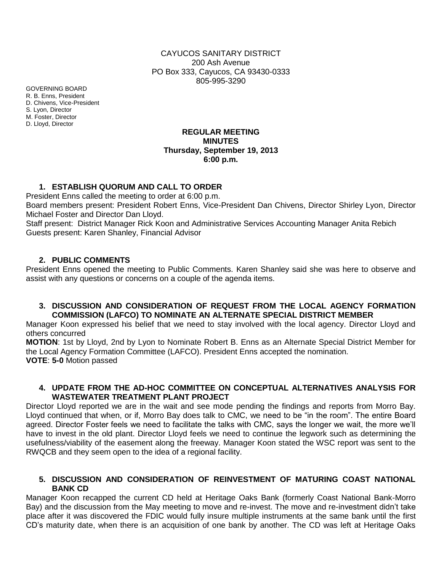CAYUCOS SANITARY DISTRICT 200 Ash Avenue PO Box 333, Cayucos, CA 93430-0333 805-995-3290

GOVERNING BOARD R. B. Enns, President D. Chivens, Vice-President S. Lyon, Director M. Foster, Director D. Lloyd, Director

## **REGULAR MEETING MINUTES Thursday, September 19, 2013 6:00 p.m.**

## **1. ESTABLISH QUORUM AND CALL TO ORDER**

President Enns called the meeting to order at 6:00 p.m.

Board members present: President Robert Enns, Vice-President Dan Chivens, Director Shirley Lyon, Director Michael Foster and Director Dan Lloyd.

Staff present: District Manager Rick Koon and Administrative Services Accounting Manager Anita Rebich Guests present: Karen Shanley, Financial Advisor

## **2. PUBLIC COMMENTS**

President Enns opened the meeting to Public Comments. Karen Shanley said she was here to observe and assist with any questions or concerns on a couple of the agenda items.

### **3. DISCUSSION AND CONSIDERATION OF REQUEST FROM THE LOCAL AGENCY FORMATION COMMISSION (LAFCO) TO NOMINATE AN ALTERNATE SPECIAL DISTRICT MEMBER**

Manager Koon expressed his belief that we need to stay involved with the local agency. Director Lloyd and others concurred

**MOTION**: 1st by Lloyd, 2nd by Lyon to Nominate Robert B. Enns as an Alternate Special District Member for the Local Agency Formation Committee (LAFCO). President Enns accepted the nomination. **VOTE**: **5-0** Motion passed

### **4. UPDATE FROM THE AD-HOC COMMITTEE ON CONCEPTUAL ALTERNATIVES ANALYSIS FOR WASTEWATER TREATMENT PLANT PROJECT**

Director Lloyd reported we are in the wait and see mode pending the findings and reports from Morro Bay. Lloyd continued that when, or if, Morro Bay does talk to CMC, we need to be "in the room". The entire Board agreed. Director Foster feels we need to facilitate the talks with CMC, says the longer we wait, the more we'll have to invest in the old plant. Director Lloyd feels we need to continue the legwork such as determining the usefulness/viability of the easement along the freeway. Manager Koon stated the WSC report was sent to the RWQCB and they seem open to the idea of a regional facility.

## **5. DISCUSSION AND CONSIDERATION OF REINVESTMENT OF MATURING COAST NATIONAL BANK CD**

Manager Koon recapped the current CD held at Heritage Oaks Bank (formerly Coast National Bank-Morro Bay) and the discussion from the May meeting to move and re-invest. The move and re-investment didn't take place after it was discovered the FDIC would fully insure multiple instruments at the same bank until the first CD's maturity date, when there is an acquisition of one bank by another. The CD was left at Heritage Oaks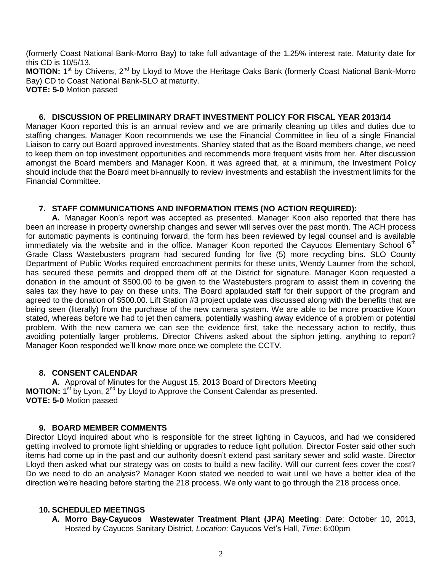(formerly Coast National Bank-Morro Bay) to take full advantage of the 1.25% interest rate. Maturity date for this CD is 10/5/13.

MOTION: 1<sup>st</sup> by Chivens, 2<sup>nd</sup> by Lloyd to Move the Heritage Oaks Bank (formerly Coast National Bank-Morro Bay) CD to Coast National Bank-SLO at maturity.

**VOTE: 5-0** Motion passed

## **6. DISCUSSION OF PRELIMINARY DRAFT INVESTMENT POLICY FOR FISCAL YEAR 2013/14**

Manager Koon reported this is an annual review and we are primarily cleaning up titles and duties due to staffing changes. Manager Koon recommends we use the Financial Committee in lieu of a single Financial Liaison to carry out Board approved investments. Shanley stated that as the Board members change, we need to keep them on top investment opportunities and recommends more frequent visits from her. After discussion amongst the Board members and Manager Koon, it was agreed that, at a minimum, the Investment Policy should include that the Board meet bi-annually to review investments and establish the investment limits for the Financial Committee.

### **7. STAFF COMMUNICATIONS AND INFORMATION ITEMS (NO ACTION REQUIRED):**

**A.** Manager Koon's report was accepted as presented. Manager Koon also reported that there has been an increase in property ownership changes and sewer will serves over the past month. The ACH process for automatic payments is continuing forward, the form has been reviewed by legal counsel and is available immediately via the website and in the office. Manager Koon reported the Cayucos Elementary School  $6<sup>th</sup>$ Grade Class Wastebusters program had secured funding for five (5) more recycling bins. SLO County Department of Public Works required encroachment permits for these units, Wendy Laumer from the school, has secured these permits and dropped them off at the District for signature. Manager Koon requested a donation in the amount of \$500.00 to be given to the Wastebusters program to assist them in covering the sales tax they have to pay on these units. The Board applauded staff for their support of the program and agreed to the donation of \$500.00. Lift Station #3 project update was discussed along with the benefits that are being seen (literally) from the purchase of the new camera system. We are able to be more proactive Koon stated, whereas before we had to jet then camera, potentially washing away evidence of a problem or potential problem. With the new camera we can see the evidence first, take the necessary action to rectify, thus avoiding potentially larger problems. Director Chivens asked about the siphon jetting, anything to report? Manager Koon responded we'll know more once we complete the CCTV.

## **8. CONSENT CALENDAR**

**A.** Approval of Minutes for the August 15, 2013 Board of Directors Meeting **MOTION:** 1<sup>st</sup> by Lyon, 2<sup>nd</sup> by Lloyd to Approve the Consent Calendar as presented. **VOTE: 5-0** Motion passed

#### **9. BOARD MEMBER COMMENTS**

Director Lloyd inquired about who is responsible for the street lighting in Cayucos, and had we considered getting involved to promote light shielding or upgrades to reduce light pollution. Director Foster said other such items had come up in the past and our authority doesn't extend past sanitary sewer and solid waste. Director Lloyd then asked what our strategy was on costs to build a new facility. Will our current fees cover the cost? Do we need to do an analysis? Manager Koon stated we needed to wait until we have a better idea of the direction we're heading before starting the 218 process. We only want to go through the 218 process once.

#### **10. SCHEDULED MEETINGS**

**A. Morro Bay-Cayucos Wastewater Treatment Plant (JPA) Meeting**: *Date*: October 10, 2013, Hosted by Cayucos Sanitary District, *Location*: Cayucos Vet's Hall, *Time*: 6:00pm